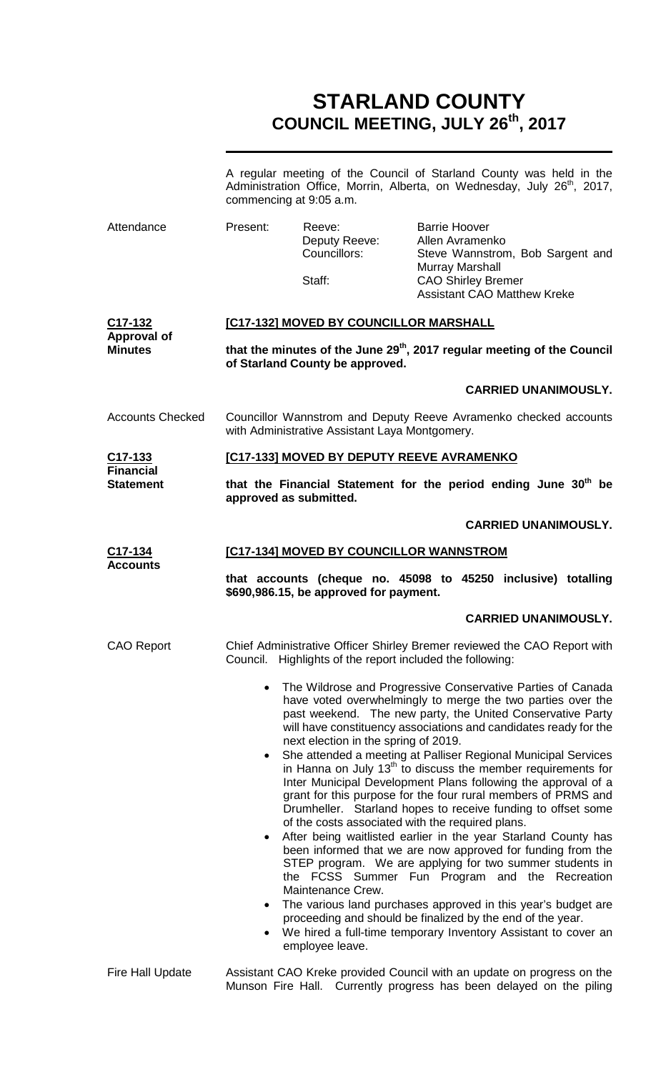# **STARLAND COUNTY COUNCIL MEETING, JULY 26th, 2017**

|                                      | A regular meeting of the Council of Starland County was held in the<br>Administration Office, Morrin, Alberta, on Wednesday, July 26 <sup>th</sup> , 2017,<br>commencing at 9:05 a.m. |                                                  |                                                                                                                                                                                                                                                              |                             |
|--------------------------------------|---------------------------------------------------------------------------------------------------------------------------------------------------------------------------------------|--------------------------------------------------|--------------------------------------------------------------------------------------------------------------------------------------------------------------------------------------------------------------------------------------------------------------|-----------------------------|
| Attendance                           | Present:                                                                                                                                                                              | Reeve:<br>Deputy Reeve:<br>Councillors:          | <b>Barrie Hoover</b><br>Allen Avramenko<br>Steve Wannstrom, Bob Sargent and<br><b>Murray Marshall</b>                                                                                                                                                        |                             |
|                                      |                                                                                                                                                                                       | Staff:                                           | <b>CAO Shirley Bremer</b><br><b>Assistant CAO Matthew Kreke</b>                                                                                                                                                                                              |                             |
| C17-132                              |                                                                                                                                                                                       | [C17-132] MOVED BY COUNCILLOR MARSHALL           |                                                                                                                                                                                                                                                              |                             |
| <b>Approval of</b><br><b>Minutes</b> |                                                                                                                                                                                       | of Starland County be approved.                  | that the minutes of the June 29 <sup>th</sup> , 2017 regular meeting of the Council                                                                                                                                                                          |                             |
|                                      |                                                                                                                                                                                       |                                                  |                                                                                                                                                                                                                                                              | <b>CARRIED UNANIMOUSLY.</b> |
| <b>Accounts Checked</b>              |                                                                                                                                                                                       | with Administrative Assistant Laya Montgomery.   | Councillor Wannstrom and Deputy Reeve Avramenko checked accounts                                                                                                                                                                                             |                             |
| C17-133<br><b>Financial</b>          |                                                                                                                                                                                       | [C17-133] MOVED BY DEPUTY REEVE AVRAMENKO        |                                                                                                                                                                                                                                                              |                             |
| <b>Statement</b>                     | that the Financial Statement for the period ending June 30 <sup>th</sup> be<br>approved as submitted.                                                                                 |                                                  |                                                                                                                                                                                                                                                              |                             |
|                                      |                                                                                                                                                                                       |                                                  |                                                                                                                                                                                                                                                              | <b>CARRIED UNANIMOUSLY.</b> |
| C17-134<br><b>Accounts</b>           |                                                                                                                                                                                       | [C17-134] MOVED BY COUNCILLOR WANNSTROM          |                                                                                                                                                                                                                                                              |                             |
|                                      | that accounts (cheque no. 45098 to 45250 inclusive) totalling<br>\$690,986.15, be approved for payment.                                                                               |                                                  |                                                                                                                                                                                                                                                              |                             |
|                                      |                                                                                                                                                                                       |                                                  |                                                                                                                                                                                                                                                              |                             |
|                                      |                                                                                                                                                                                       |                                                  |                                                                                                                                                                                                                                                              | <b>CARRIED UNANIMOUSLY.</b> |
| <b>CAO Report</b>                    | Council.                                                                                                                                                                              | Highlights of the report included the following: | Chief Administrative Officer Shirley Bremer reviewed the CAO Report with                                                                                                                                                                                     |                             |
|                                      | $\bullet$                                                                                                                                                                             |                                                  | The Wildrose and Progressive Conservative Parties of Canada<br>have voted overwhelmingly to merge the two parties over the<br>past weekend. The new party, the United Conservative Party<br>will have constituency associations and candidates ready for the |                             |

Fire Hall Update Assistant CAO Kreke provided Council with an update on progress on the Munson Fire Hall. Currently progress has been delayed on the piling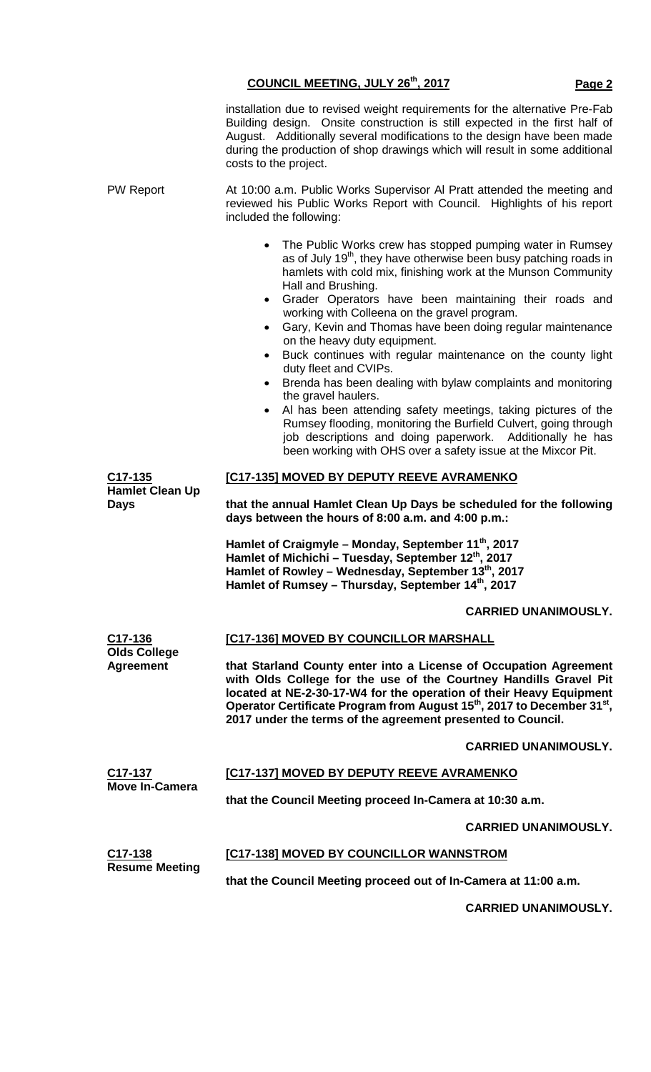|                                                               | installation due to revised weight requirements for the alternative Pre-Fab<br>Building design. Onsite construction is still expected in the first half of<br>August. Additionally several modifications to the design have been made<br>during the production of shop drawings which will result in some additional<br>costs to the project.                                                                                                                                                                                                                                                                                                                                                                                                                                                                                                                                                                                                   |  |  |  |
|---------------------------------------------------------------|-------------------------------------------------------------------------------------------------------------------------------------------------------------------------------------------------------------------------------------------------------------------------------------------------------------------------------------------------------------------------------------------------------------------------------------------------------------------------------------------------------------------------------------------------------------------------------------------------------------------------------------------------------------------------------------------------------------------------------------------------------------------------------------------------------------------------------------------------------------------------------------------------------------------------------------------------|--|--|--|
| <b>PW Report</b>                                              | At 10:00 a.m. Public Works Supervisor AI Pratt attended the meeting and<br>reviewed his Public Works Report with Council. Highlights of his report<br>included the following:                                                                                                                                                                                                                                                                                                                                                                                                                                                                                                                                                                                                                                                                                                                                                                   |  |  |  |
|                                                               | • The Public Works crew has stopped pumping water in Rumsey<br>as of July 19 <sup>th</sup> , they have otherwise been busy patching roads in<br>hamlets with cold mix, finishing work at the Munson Community<br>Hall and Brushing.<br>Grader Operators have been maintaining their roads and<br>$\bullet$<br>working with Colleena on the gravel program.<br>Gary, Kevin and Thomas have been doing regular maintenance<br>$\bullet$<br>on the heavy duty equipment.<br>Buck continues with regular maintenance on the county light<br>duty fleet and CVIPs.<br>Brenda has been dealing with bylaw complaints and monitoring<br>$\bullet$<br>the gravel haulers.<br>Al has been attending safety meetings, taking pictures of the<br>$\bullet$<br>Rumsey flooding, monitoring the Burfield Culvert, going through<br>job descriptions and doing paperwork. Additionally he has<br>been working with OHS over a safety issue at the Mixcor Pit. |  |  |  |
| C <sub>17</sub> -135<br><b>Hamlet Clean Up</b><br><b>Days</b> | [C17-135] MOVED BY DEPUTY REEVE AVRAMENKO<br>that the annual Hamlet Clean Up Days be scheduled for the following<br>days between the hours of 8:00 a.m. and 4:00 p.m.:                                                                                                                                                                                                                                                                                                                                                                                                                                                                                                                                                                                                                                                                                                                                                                          |  |  |  |
|                                                               | Hamlet of Craigmyle - Monday, September 11th, 2017<br>Hamlet of Michichi - Tuesday, September 12 <sup>th</sup> , 2017<br>Hamlet of Rowley - Wednesday, September 13th, 2017<br>Hamlet of Rumsey – Thursday, September 14th, 2017                                                                                                                                                                                                                                                                                                                                                                                                                                                                                                                                                                                                                                                                                                                |  |  |  |
|                                                               | <b>CARRIED UNANIMOUSLY.</b>                                                                                                                                                                                                                                                                                                                                                                                                                                                                                                                                                                                                                                                                                                                                                                                                                                                                                                                     |  |  |  |
| C17-136                                                       | [C17-136] MOVED BY COUNCILLOR MARSHALL                                                                                                                                                                                                                                                                                                                                                                                                                                                                                                                                                                                                                                                                                                                                                                                                                                                                                                          |  |  |  |
| <b>Olds College</b><br><b>Agreement</b>                       | that Starland County enter into a License of Occupation Agreement<br>with Olds College for the use of the Courtney Handills Gravel Pit<br>located at NE-2-30-17-W4 for the operation of their Heavy Equipment<br>Operator Certificate Program from August 15 <sup>th</sup> , 2017 to December 31 <sup>st</sup> ,<br>2017 under the terms of the agreement presented to Council.                                                                                                                                                                                                                                                                                                                                                                                                                                                                                                                                                                 |  |  |  |
|                                                               | <b>CARRIED UNANIMOUSLY.</b>                                                                                                                                                                                                                                                                                                                                                                                                                                                                                                                                                                                                                                                                                                                                                                                                                                                                                                                     |  |  |  |
| C <sub>17</sub> -137<br><b>Move In-Camera</b>                 | [C17-137] MOVED BY DEPUTY REEVE AVRAMENKO                                                                                                                                                                                                                                                                                                                                                                                                                                                                                                                                                                                                                                                                                                                                                                                                                                                                                                       |  |  |  |
|                                                               | that the Council Meeting proceed In-Camera at 10:30 a.m.                                                                                                                                                                                                                                                                                                                                                                                                                                                                                                                                                                                                                                                                                                                                                                                                                                                                                        |  |  |  |
|                                                               | <b>CARRIED UNANIMOUSLY.</b>                                                                                                                                                                                                                                                                                                                                                                                                                                                                                                                                                                                                                                                                                                                                                                                                                                                                                                                     |  |  |  |
| C17-138<br><b>Resume Meeting</b>                              | [C17-138] MOVED BY COUNCILLOR WANNSTROM                                                                                                                                                                                                                                                                                                                                                                                                                                                                                                                                                                                                                                                                                                                                                                                                                                                                                                         |  |  |  |
|                                                               | that the Council Meeting proceed out of In-Camera at 11:00 a.m.                                                                                                                                                                                                                                                                                                                                                                                                                                                                                                                                                                                                                                                                                                                                                                                                                                                                                 |  |  |  |

**CARRIED UNANIMOUSLY.**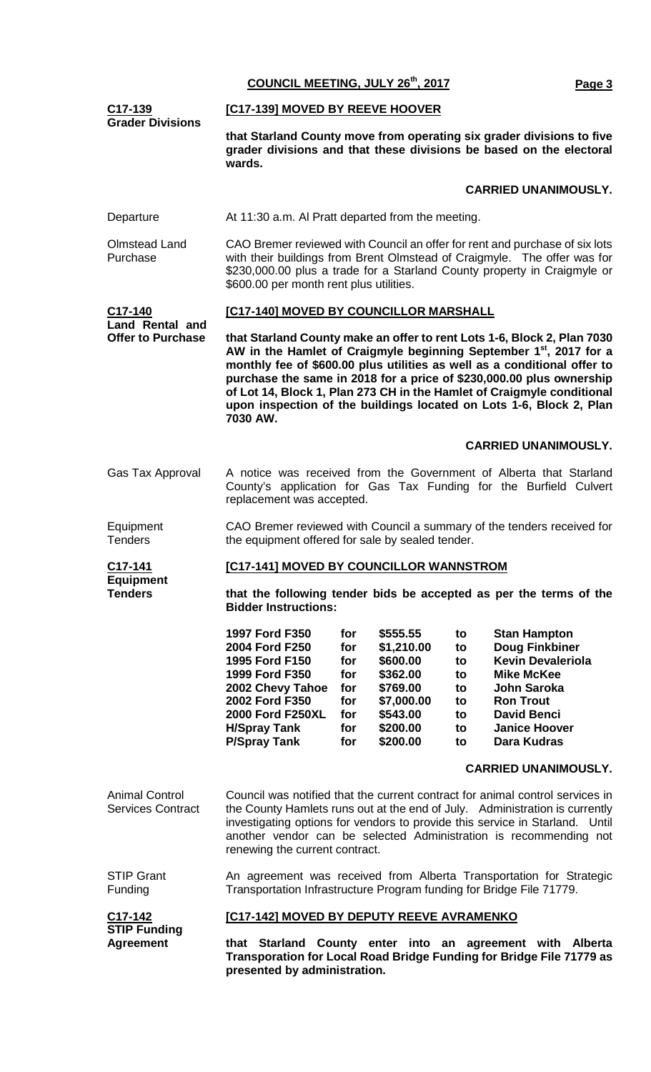| COUNCIL MEETING, JULY 26th, 2017 | Page 3 |
|----------------------------------|--------|
|----------------------------------|--------|

| <u>C17-139</u><br><b>Grader Divisions</b>                                                                                                                                                                    | [C17-139] MOVED BY REEVE HOOVER                                                                                                                                                                                                                                                                                                                                                                                                                                            |                                                             |                                                                                                              |                                                    |                                                                                                                                                                                                      |
|--------------------------------------------------------------------------------------------------------------------------------------------------------------------------------------------------------------|----------------------------------------------------------------------------------------------------------------------------------------------------------------------------------------------------------------------------------------------------------------------------------------------------------------------------------------------------------------------------------------------------------------------------------------------------------------------------|-------------------------------------------------------------|--------------------------------------------------------------------------------------------------------------|----------------------------------------------------|------------------------------------------------------------------------------------------------------------------------------------------------------------------------------------------------------|
|                                                                                                                                                                                                              | that Starland County move from operating six grader divisions to five<br>grader divisions and that these divisions be based on the electoral<br>wards.                                                                                                                                                                                                                                                                                                                     |                                                             |                                                                                                              |                                                    |                                                                                                                                                                                                      |
|                                                                                                                                                                                                              |                                                                                                                                                                                                                                                                                                                                                                                                                                                                            |                                                             |                                                                                                              |                                                    | <b>CARRIED UNANIMOUSLY.</b>                                                                                                                                                                          |
| Departure                                                                                                                                                                                                    | At 11:30 a.m. Al Pratt departed from the meeting.                                                                                                                                                                                                                                                                                                                                                                                                                          |                                                             |                                                                                                              |                                                    |                                                                                                                                                                                                      |
| <b>Olmstead Land</b><br>Purchase                                                                                                                                                                             | CAO Bremer reviewed with Council an offer for rent and purchase of six lots<br>with their buildings from Brent Olmstead of Craigmyle. The offer was for<br>\$230,000.00 plus a trade for a Starland County property in Craigmyle or<br>\$600.00 per month rent plus utilities.                                                                                                                                                                                             |                                                             |                                                                                                              |                                                    |                                                                                                                                                                                                      |
| C17-140<br><b>Land Rental and</b>                                                                                                                                                                            | [C17-140] MOVED BY COUNCILLOR MARSHALL                                                                                                                                                                                                                                                                                                                                                                                                                                     |                                                             |                                                                                                              |                                                    |                                                                                                                                                                                                      |
| <b>Offer to Purchase</b>                                                                                                                                                                                     | that Starland County make an offer to rent Lots 1-6, Block 2, Plan 7030<br>AW in the Hamlet of Craigmyle beginning September 1 <sup>st</sup> , 2017 for a<br>monthly fee of \$600.00 plus utilities as well as a conditional offer to<br>purchase the same in 2018 for a price of \$230,000.00 plus ownership<br>of Lot 14, Block 1, Plan 273 CH in the Hamlet of Craigmyle conditional<br>upon inspection of the buildings located on Lots 1-6, Block 2, Plan<br>7030 AW. |                                                             |                                                                                                              |                                                    |                                                                                                                                                                                                      |
|                                                                                                                                                                                                              |                                                                                                                                                                                                                                                                                                                                                                                                                                                                            |                                                             |                                                                                                              |                                                    | <b>CARRIED UNANIMOUSLY.</b>                                                                                                                                                                          |
| Gas Tax Approval                                                                                                                                                                                             | A notice was received from the Government of Alberta that Starland<br>County's application for Gas Tax Funding for the Burfield Culvert<br>replacement was accepted.                                                                                                                                                                                                                                                                                                       |                                                             |                                                                                                              |                                                    |                                                                                                                                                                                                      |
| Equipment<br><b>Tenders</b>                                                                                                                                                                                  | CAO Bremer reviewed with Council a summary of the tenders received for<br>the equipment offered for sale by sealed tender.                                                                                                                                                                                                                                                                                                                                                 |                                                             |                                                                                                              |                                                    |                                                                                                                                                                                                      |
| C <sub>17</sub> -141                                                                                                                                                                                         | [C17-141] MOVED BY COUNCILLOR WANNSTROM                                                                                                                                                                                                                                                                                                                                                                                                                                    |                                                             |                                                                                                              |                                                    |                                                                                                                                                                                                      |
| <b>Equipment</b><br><b>Tenders</b>                                                                                                                                                                           | that the following tender bids be accepted as per the terms of the<br><b>Bidder Instructions:</b>                                                                                                                                                                                                                                                                                                                                                                          |                                                             |                                                                                                              |                                                    |                                                                                                                                                                                                      |
|                                                                                                                                                                                                              | 1997 Ford F350<br>2004 Ford F250<br>1995 Ford F150<br>1999 Ford F350<br>2002 Chevy Tahoe<br>2002 Ford F350<br>2000 Ford F250XL<br><b>H/Spray Tank</b><br><b>P/Spray Tank</b>                                                                                                                                                                                                                                                                                               | for<br>for<br>for<br>for<br>for<br>for<br>for<br>for<br>for | \$555.55<br>\$1,210.00<br>\$600.00<br>\$362.00<br>\$769.00<br>\$7,000.00<br>\$543.00<br>\$200.00<br>\$200.00 | to<br>to<br>to<br>to<br>to<br>to<br>to<br>to<br>to | <b>Stan Hampton</b><br>Doug Finkbiner<br><b>Kevin Devaleriola</b><br><b>Mike McKee</b><br><b>John Saroka</b><br><b>Ron Trout</b><br><b>David Benci</b><br><b>Janice Hoover</b><br><b>Dara Kudras</b> |
|                                                                                                                                                                                                              |                                                                                                                                                                                                                                                                                                                                                                                                                                                                            |                                                             |                                                                                                              |                                                    | <b>CARRIED UNANIMOUSLY.</b>                                                                                                                                                                          |
| <b>Animal Control</b><br><b>Services Contract</b>                                                                                                                                                            | Council was notified that the current contract for animal control services in<br>the County Hamlets runs out at the end of July. Administration is currently<br>investigating options for vendors to provide this service in Starland. Until<br>another vendor can be selected Administration is recommending not<br>renewing the current contract.                                                                                                                        |                                                             |                                                                                                              |                                                    |                                                                                                                                                                                                      |
| <b>STIP Grant</b><br>Funding                                                                                                                                                                                 | An agreement was received from Alberta Transportation for Strategic<br>Transportation Infrastructure Program funding for Bridge File 71779.                                                                                                                                                                                                                                                                                                                                |                                                             |                                                                                                              |                                                    |                                                                                                                                                                                                      |
| C17-142                                                                                                                                                                                                      | [C17-142] MOVED BY DEPUTY REEVE AVRAMENKO                                                                                                                                                                                                                                                                                                                                                                                                                                  |                                                             |                                                                                                              |                                                    |                                                                                                                                                                                                      |
| <b>STIP Funding</b><br><b>Agreement</b><br>that Starland County enter into an agreement with Alberta<br>Transporation for Local Road Bridge Funding for Bridge File 71779 as<br>presented by administration. |                                                                                                                                                                                                                                                                                                                                                                                                                                                                            |                                                             |                                                                                                              |                                                    |                                                                                                                                                                                                      |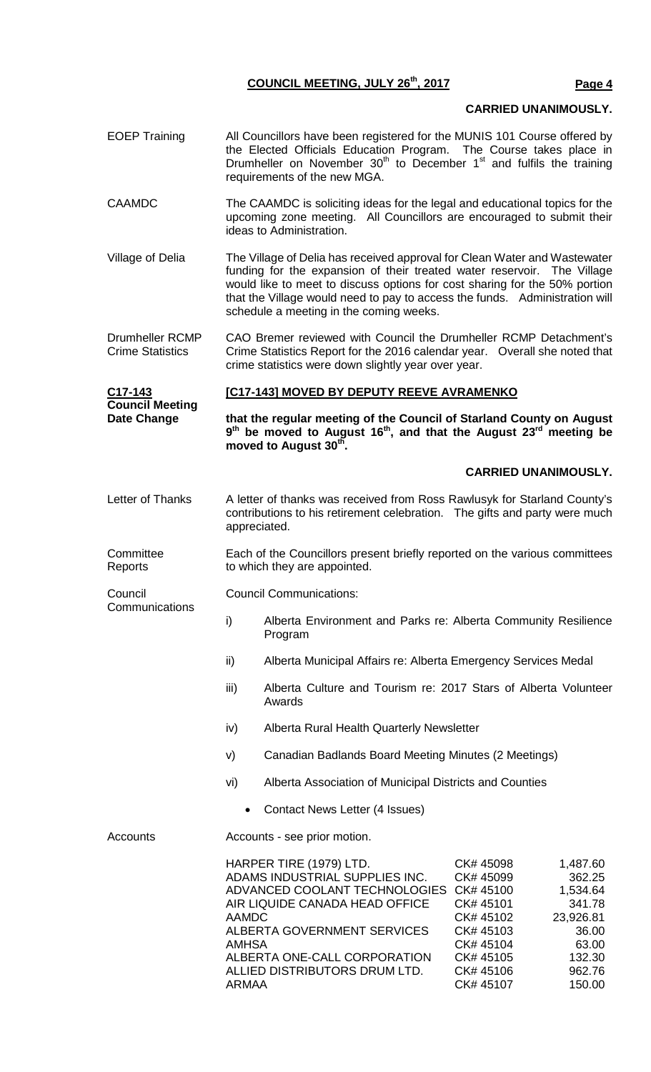## **CARRIED UNANIMOUSLY.**

- EOEP Training All Councillors have been registered for the MUNIS 101 Course offered by the Elected Officials Education Program. The Course takes place in Drumheller on November  $30<sup>th</sup>$  to December 1<sup>st</sup> and fulfils the training requirements of the new MGA.
- CAAMDC The CAAMDC is soliciting ideas for the legal and educational topics for the upcoming zone meeting. All Councillors are encouraged to submit their ideas to Administration.
- Village of Delia The Village of Delia has received approval for Clean Water and Wastewater funding for the expansion of their treated water reservoir. The Village would like to meet to discuss options for cost sharing for the 50% portion that the Village would need to pay to access the funds. Administration will schedule a meeting in the coming weeks.
- Drumheller RCMP Crime Statistics CAO Bremer reviewed with Council the Drumheller RCMP Detachment's Crime Statistics Report for the 2016 calendar year. Overall she noted that crime statistics were down slightly year over year.

#### **C17-143 Council Meeting Date Change [C17-143] MOVED BY DEPUTY REEVE AVRAMENKO that the regular meeting of the Council of Starland County on August 9th be moved to August 16th, and that the August 23rd meeting be**  moved to August 30<sup>th</sup>. **CARRIED UNANIMOUSLY.** Letter of Thanks A letter of thanks was received from Ross Rawlusyk for Starland County's contributions to his retirement celebration. The gifts and party were much appreciated. **Committee Reports** Each of the Councillors present briefly reported on the various committees to which they are appointed. **Council Communications** Council Communications: i) Alberta Environment and Parks re: Alberta Community Resilience Program ii) Alberta Municipal Affairs re: Alberta Emergency Services Medal

- iii) Alberta Culture and Tourism re: 2017 Stars of Alberta Volunteer Awards
- iv) Alberta Rural Health Quarterly Newsletter
- v) Canadian Badlands Board Meeting Minutes (2 Meetings)
- vi) Alberta Association of Municipal Districts and Counties
	- Contact News Letter (4 Issues)

#### Accounts **Accounts** - see prior motion.

| HARPER TIRE (1979) LTD.                 | CK# 45098 | 1,487.60  |
|-----------------------------------------|-----------|-----------|
| ADAMS INDUSTRIAL SUPPLIES INC.          | CK# 45099 | 362.25    |
| ADVANCED COOLANT TECHNOLOGIES CK# 45100 |           | 1,534.64  |
| AIR LIQUIDE CANADA HEAD OFFICE          | CK# 45101 | 341.78    |
| <b>AAMDC</b>                            | CK# 45102 | 23,926.81 |
| ALBERTA GOVERNMENT SERVICES             | CK# 45103 | 36.00     |
| <b>AMHSA</b>                            | CK# 45104 | 63.00     |
| ALBERTA ONE-CALL CORPORATION            | CK# 45105 | 132.30    |
| ALLIED DISTRIBUTORS DRUM LTD.           | CK# 45106 | 962.76    |
| ARMAA                                   | CK# 45107 | 150.00    |
|                                         |           |           |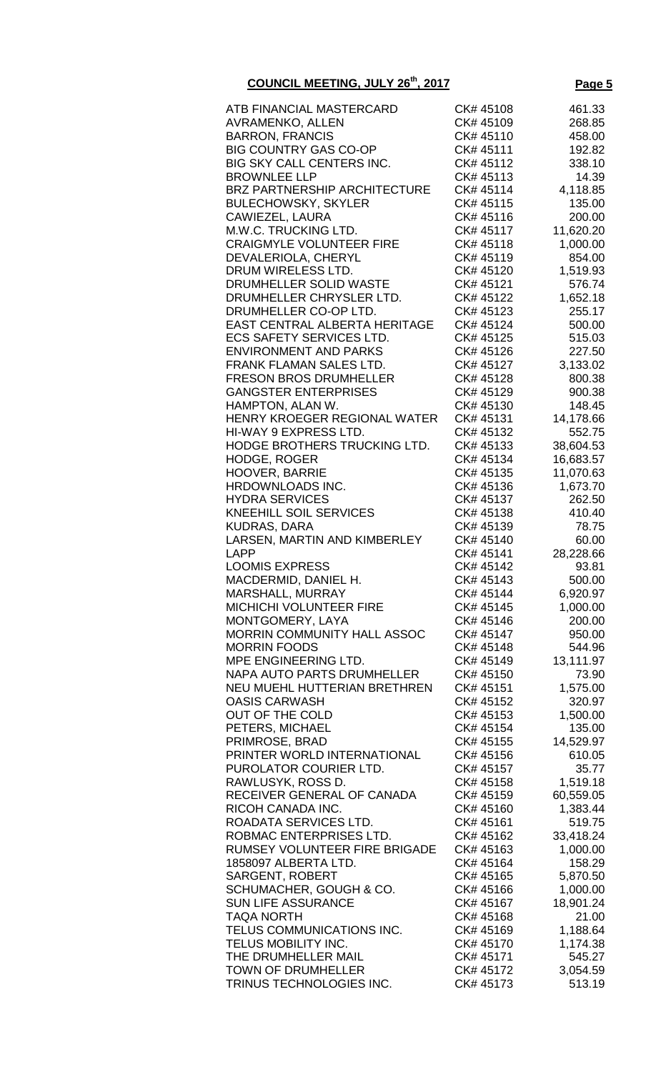| ATB FINANCIAL MASTERCARD             | CK# 45108 | 461.33    |
|--------------------------------------|-----------|-----------|
| <b>AVRAMENKO, ALLEN</b>              | CK# 45109 | 268.85    |
|                                      |           |           |
| <b>BARRON, FRANCIS</b>               | CK# 45110 | 458.00    |
| <b>BIG COUNTRY GAS CO-OP</b>         | CK# 45111 | 192.82    |
| <b>BIG SKY CALL CENTERS INC.</b>     | CK# 45112 | 338.10    |
| <b>BROWNLEE LLP</b>                  | CK# 45113 | 14.39     |
|                                      |           |           |
| <b>BRZ PARTNERSHIP ARCHITECTURE</b>  | CK# 45114 | 4,118.85  |
| <b>BULECHOWSKY, SKYLER</b>           | CK# 45115 | 135.00    |
| CAWIEZEL, LAURA                      | CK# 45116 | 200.00    |
| M.W.C. TRUCKING LTD.                 | CK# 45117 | 11,620.20 |
| <b>CRAIGMYLE VOLUNTEER FIRE</b>      | CK# 45118 | 1,000.00  |
|                                      |           |           |
| DEVALERIOLA, CHERYL                  | CK# 45119 | 854.00    |
| DRUM WIRELESS LTD.                   | CK# 45120 | 1,519.93  |
| DRUMHELLER SOLID WASTE               | CK# 45121 | 576.74    |
| DRUMHELLER CHRYSLER LTD.             | CK# 45122 | 1,652.18  |
|                                      |           | 255.17    |
| DRUMHELLER CO-OP LTD.                | CK# 45123 |           |
| <b>EAST CENTRAL ALBERTA HERITAGE</b> | CK# 45124 | 500.00    |
| <b>ECS SAFETY SERVICES LTD.</b>      | CK# 45125 | 515.03    |
| <b>ENVIRONMENT AND PARKS</b>         | CK# 45126 | 227.50    |
| <b>FRANK FLAMAN SALES LTD.</b>       | CK# 45127 | 3,133.02  |
|                                      |           |           |
| <b>FRESON BROS DRUMHELLER</b>        | CK# 45128 | 800.38    |
| <b>GANGSTER ENTERPRISES</b>          | CK# 45129 | 900.38    |
| HAMPTON, ALAN W.                     | CK# 45130 | 148.45    |
| HENRY KROEGER REGIONAL WATER         | CK# 45131 | 14,178.66 |
|                                      |           |           |
| HI-WAY 9 EXPRESS LTD.                | CK# 45132 | 552.75    |
| HODGE BROTHERS TRUCKING LTD.         | CK# 45133 | 38,604.53 |
| <b>HODGE, ROGER</b>                  | CK# 45134 | 16,683.57 |
| <b>HOOVER, BARRIE</b>                | CK# 45135 | 11,070.63 |
| HRDOWNLOADS INC.                     | CK# 45136 | 1,673.70  |
|                                      |           |           |
| <b>HYDRA SERVICES</b>                | CK# 45137 | 262.50    |
| <b>KNEEHILL SOIL SERVICES</b>        | CK# 45138 | 410.40    |
| <b>KUDRAS, DARA</b>                  | CK# 45139 | 78.75     |
| LARSEN, MARTIN AND KIMBERLEY         | CK# 45140 | 60.00     |
| <b>LAPP</b>                          | CK# 45141 | 28,228.66 |
|                                      |           |           |
| <b>LOOMIS EXPRESS</b>                | CK# 45142 | 93.81     |
| MACDERMID, DANIEL H.                 | CK# 45143 | 500.00    |
| MARSHALL, MURRAY                     | CK# 45144 | 6,920.97  |
| <b>MICHICHI VOLUNTEER FIRE</b>       | CK# 45145 | 1,000.00  |
| MONTGOMERY, LAYA                     | CK# 45146 | 200.00    |
|                                      |           |           |
| <b>MORRIN COMMUNITY HALL ASSOC</b>   | CK# 45147 | 950.00    |
| <b>MORRIN FOODS</b>                  | CK# 45148 | 544.96    |
| MPE ENGINEERING LTD.                 | CK# 45149 | 13,111.97 |
| NAPA AUTO PARTS DRUMHELLER           | CK# 45150 | 73.90     |
| NEU MUEHL HUTTERIAN BRETHREN         | CK# 45151 | 1,575.00  |
|                                      |           |           |
| <b>OASIS CARWASH</b>                 | CK# 45152 | 320.97    |
| OUT OF THE COLD                      | CK# 45153 | 1,500.00  |
| PETERS, MICHAEL                      | CK# 45154 | 135.00    |
| PRIMROSE, BRAD                       | CK# 45155 | 14,529.97 |
| PRINTER WORLD INTERNATIONAL          |           |           |
|                                      | CK# 45156 | 610.05    |
| PUROLATOR COURIER LTD.               | CK# 45157 | 35.77     |
| RAWLUSYK, ROSS D.                    | CK# 45158 | 1,519.18  |
| RECEIVER GENERAL OF CANADA           | CK# 45159 | 60,559.05 |
| RICOH CANADA INC.                    | CK# 45160 | 1,383.44  |
|                                      |           |           |
| ROADATA SERVICES LTD.                | CK# 45161 | 519.75    |
| ROBMAC ENTERPRISES LTD.              | CK# 45162 | 33,418.24 |
| RUMSEY VOLUNTEER FIRE BRIGADE        | CK# 45163 | 1,000.00  |
| 1858097 ALBERTA LTD.                 | CK# 45164 | 158.29    |
| <b>SARGENT, ROBERT</b>               | CK# 45165 | 5,870.50  |
|                                      |           |           |
| SCHUMACHER, GOUGH & CO.              | CK# 45166 | 1,000.00  |
| <b>SUN LIFE ASSURANCE</b>            | CK# 45167 | 18,901.24 |
| <b>TAQA NORTH</b>                    | CK# 45168 | 21.00     |
| TELUS COMMUNICATIONS INC.            | CK# 45169 | 1,188.64  |
| TELUS MOBILITY INC.                  | CK# 45170 | 1,174.38  |
|                                      |           |           |
| THE DRUMHELLER MAIL                  | CK# 45171 | 545.27    |
| TOWN OF DRUMHELLER                   | CK# 45172 | 3,054.59  |
| TRINUS TECHNOLOGIES INC.             | CK# 45173 | 513.19    |
|                                      |           |           |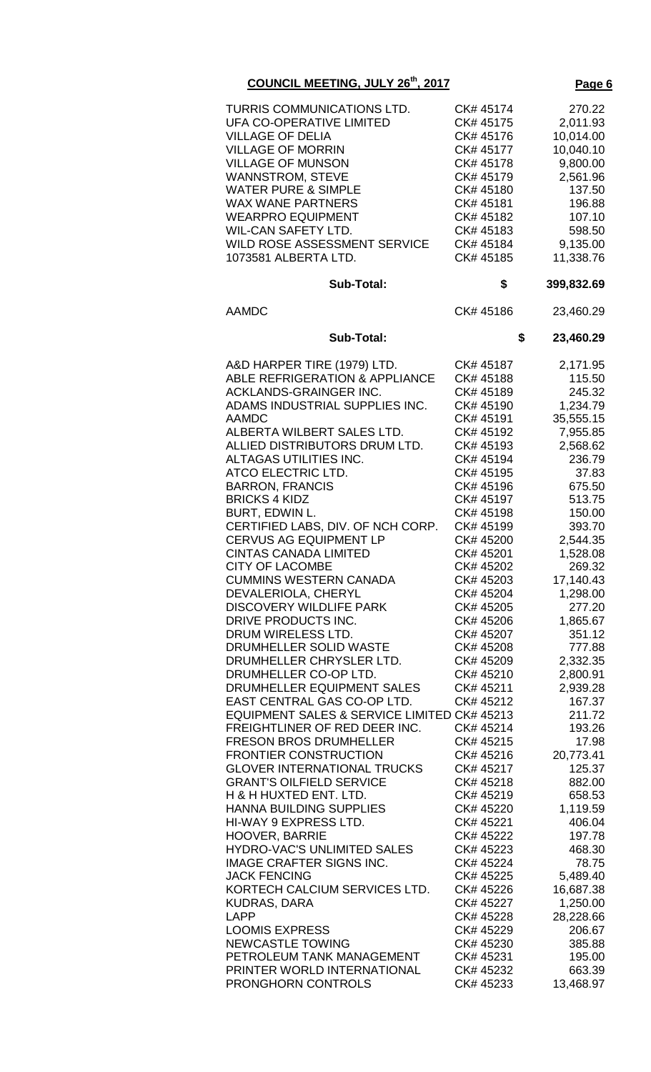| 'ac<br>۱Α |  |
|-----------|--|
|           |  |

| <b>AAMDC</b><br>CK# 45186<br>23,460.29<br>\$<br><b>Sub-Total:</b><br>23,460.29<br>A&D HARPER TIRE (1979) LTD.<br>CK# 45187<br>2,171.95<br><b>ABLE REFRIGERATION &amp; APPLIANCE</b><br>CK# 45188<br>115.50<br><b>ACKLANDS-GRAINGER INC.</b><br>CK# 45189<br>245.32<br>ADAMS INDUSTRIAL SUPPLIES INC.<br>CK# 45190<br>1,234.79<br>35,555.15<br><b>AAMDC</b><br>CK# 45191<br>ALBERTA WILBERT SALES LTD.<br>CK# 45192<br>7,955.85<br>ALLIED DISTRIBUTORS DRUM LTD.<br>CK# 45193<br>2,568.62<br>ALTAGAS UTILITIES INC.<br>CK# 45194<br>236.79<br>ATCO ELECTRIC LTD.<br>CK# 45195<br>37.83<br><b>BARRON, FRANCIS</b><br>CK# 45196<br>675.50<br><b>BRICKS 4 KIDZ</b><br>CK# 45197<br>513.75<br>BURT, EDWIN L.<br>CK# 45198<br>150.00<br>CERTIFIED LABS, DIV. OF NCH CORP.<br>CK# 45199<br>393.70<br><b>CERVUS AG EQUIPMENT LP</b><br>2,544.35<br>CK# 45200<br><b>CINTAS CANADA LIMITED</b><br>CK# 45201<br>1,528.08<br><b>CITY OF LACOMBE</b><br>CK# 45202<br>269.32<br><b>CUMMINS WESTERN CANADA</b><br>CK# 45203<br>17,140.43<br>DEVALERIOLA, CHERYL<br>CK# 45204<br>1,298.00<br><b>DISCOVERY WILDLIFE PARK</b><br>CK# 45205<br>277.20<br>DRIVE PRODUCTS INC.<br>CK# 45206<br>1,865.67<br>DRUM WIRELESS LTD.<br>CK# 45207<br>351.12<br>DRUMHELLER SOLID WASTE<br>777.88<br>CK# 45208<br>DRUMHELLER CHRYSLER LTD.<br>2,332.35<br>CK# 45209<br>DRUMHELLER CO-OP LTD.<br>CK# 45210<br>2,800.91<br>DRUMHELLER EQUIPMENT SALES<br>CK# 45211<br>2,939.28<br>EAST CENTRAL GAS CO-OP LTD.<br>CK# 45212<br>167.37<br>EQUIPMENT SALES & SERVICE LIMITED CK# 45213<br>211.72<br>FREIGHTLINER OF RED DEER INC.<br>CK# 45214<br>193.26<br><b>FRESON BROS DRUMHELLER</b><br>CK# 45215<br>17.98<br><b>FRONTIER CONSTRUCTION</b><br>CK# 45216<br>20,773.41<br><b>GLOVER INTERNATIONAL TRUCKS</b><br>CK# 45217<br>125.37<br><b>GRANT'S OILFIELD SERVICE</b><br>CK# 45218<br>882.00<br>H & H HUXTED ENT. LTD.<br>658.53<br>CK# 45219<br>HANNA BUILDING SUPPLIES<br>CK# 45220<br>1,119.59<br>HI-WAY 9 EXPRESS LTD.<br>CK# 45221<br>406.04<br><b>HOOVER, BARRIE</b><br>CK# 45222<br>197.78<br>HYDRO-VAC'S UNLIMITED SALES<br>CK# 45223<br>468.30<br><b>IMAGE CRAFTER SIGNS INC.</b><br>CK# 45224<br>78.75<br><b>JACK FENCING</b><br>CK# 45225<br>5,489.40<br>KORTECH CALCIUM SERVICES LTD.<br>16,687.38<br>CK# 45226<br>1,250.00<br>KUDRAS, DARA<br>CK# 45227<br><b>LAPP</b><br>28,228.66<br>CK# 45228<br><b>LOOMIS EXPRESS</b><br>CK# 45229<br>206.67<br><b>NEWCASTLE TOWING</b><br>CK# 45230<br>385.88<br>PETROLEUM TANK MANAGEMENT<br>CK# 45231<br>195.00 | TURRIS COMMUNICATIONS LTD.<br><b>UFA CO-OPERATIVE LIMITED</b><br><b>VILLAGE OF DELIA</b><br><b>VILLAGE OF MORRIN</b><br><b>VILLAGE OF MUNSON</b><br><b>WANNSTROM, STEVE</b><br><b>WATER PURE &amp; SIMPLE</b><br><b>WAX WANE PARTNERS</b><br><b>WEARPRO EQUIPMENT</b><br>WIL-CAN SAFETY LTD.<br><b>WILD ROSE ASSESSMENT SERVICE</b><br>1073581 ALBERTA LTD.<br><b>Sub-Total:</b> | CK# 45174<br>CK# 45175<br>CK# 45176<br>CK# 45177<br>CK# 45178<br>CK# 45179<br>CK# 45180<br>CK# 45181<br>CK# 45182<br>CK# 45183<br>CK# 45184<br>CK# 45185<br>\$ | 270.22<br>2,011.93<br>10,014.00<br>10,040.10<br>9,800.00<br>2,561.96<br>137.50<br>196.88<br>107.10<br>598.50<br>9,135.00<br>11,338.76<br>399,832.69 |
|--------------------------------------------------------------------------------------------------------------------------------------------------------------------------------------------------------------------------------------------------------------------------------------------------------------------------------------------------------------------------------------------------------------------------------------------------------------------------------------------------------------------------------------------------------------------------------------------------------------------------------------------------------------------------------------------------------------------------------------------------------------------------------------------------------------------------------------------------------------------------------------------------------------------------------------------------------------------------------------------------------------------------------------------------------------------------------------------------------------------------------------------------------------------------------------------------------------------------------------------------------------------------------------------------------------------------------------------------------------------------------------------------------------------------------------------------------------------------------------------------------------------------------------------------------------------------------------------------------------------------------------------------------------------------------------------------------------------------------------------------------------------------------------------------------------------------------------------------------------------------------------------------------------------------------------------------------------------------------------------------------------------------------------------------------------------------------------------------------------------------------------------------------------------------------------------------------------------------------------------------------------------------------------------------------------------------------------------------------------------------------------------------------------------------------------------------------------------------------------------------------------------------------------|----------------------------------------------------------------------------------------------------------------------------------------------------------------------------------------------------------------------------------------------------------------------------------------------------------------------------------------------------------------------------------|----------------------------------------------------------------------------------------------------------------------------------------------------------------|-----------------------------------------------------------------------------------------------------------------------------------------------------|
|                                                                                                                                                                                                                                                                                                                                                                                                                                                                                                                                                                                                                                                                                                                                                                                                                                                                                                                                                                                                                                                                                                                                                                                                                                                                                                                                                                                                                                                                                                                                                                                                                                                                                                                                                                                                                                                                                                                                                                                                                                                                                                                                                                                                                                                                                                                                                                                                                                                                                                                                      |                                                                                                                                                                                                                                                                                                                                                                                  |                                                                                                                                                                |                                                                                                                                                     |
|                                                                                                                                                                                                                                                                                                                                                                                                                                                                                                                                                                                                                                                                                                                                                                                                                                                                                                                                                                                                                                                                                                                                                                                                                                                                                                                                                                                                                                                                                                                                                                                                                                                                                                                                                                                                                                                                                                                                                                                                                                                                                                                                                                                                                                                                                                                                                                                                                                                                                                                                      |                                                                                                                                                                                                                                                                                                                                                                                  |                                                                                                                                                                |                                                                                                                                                     |
|                                                                                                                                                                                                                                                                                                                                                                                                                                                                                                                                                                                                                                                                                                                                                                                                                                                                                                                                                                                                                                                                                                                                                                                                                                                                                                                                                                                                                                                                                                                                                                                                                                                                                                                                                                                                                                                                                                                                                                                                                                                                                                                                                                                                                                                                                                                                                                                                                                                                                                                                      |                                                                                                                                                                                                                                                                                                                                                                                  |                                                                                                                                                                |                                                                                                                                                     |